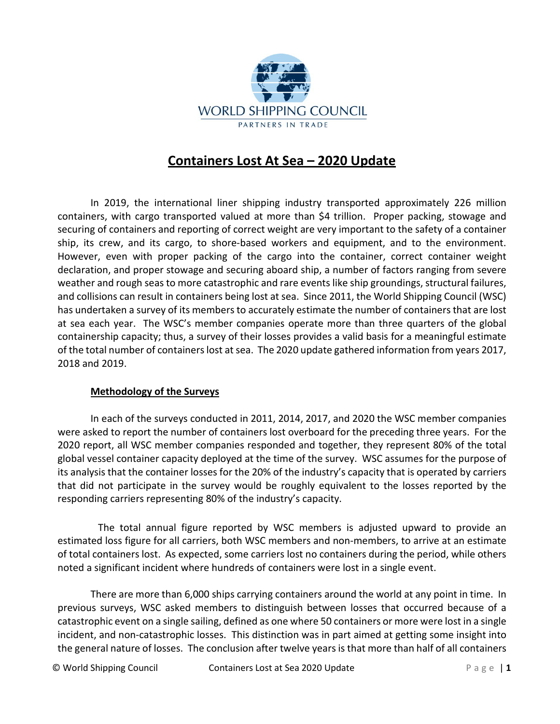

## **Containers Lost At Sea – 2020 Update**

In 2019, the international liner shipping industry transported approximately 226 million containers, with cargo transported valued at more than \$4 trillion. Proper packing, stowage and securing of containers and reporting of correct weight are very important to the safety of a container ship, its crew, and its cargo, to shore-based workers and equipment, and to the environment. However, even with proper packing of the cargo into the container, correct container weight declaration, and proper stowage and securing aboard ship, a number of factors ranging from severe weather and rough seas to more catastrophic and rare events like ship groundings, structural failures, and collisions can result in containers being lost at sea. Since 2011, the World Shipping Council (WSC) has undertaken a survey of its members to accurately estimate the number of containers that are lost at sea each year. The WSC's member companies operate more than three quarters of the global containership capacity; thus, a survey of their losses provides a valid basis for a meaningful estimate of the total number of containers lost at sea. The 2020 update gathered information from years 2017, 2018 and 2019.

## **Methodology of the Surveys**

In each of the surveys conducted in 2011, 2014, 2017, and 2020 the WSC member companies were asked to report the number of containers lost overboard for the preceding three years. For the 2020 report, all WSC member companies responded and together, they represent 80% of the total global vessel container capacity deployed at the time of the survey. WSC assumes for the purpose of its analysis that the container losses for the 20% of the industry's capacity that is operated by carriers that did not participate in the survey would be roughly equivalent to the losses reported by the responding carriers representing 80% of the industry's capacity.

The total annual figure reported by WSC members is adjusted upward to provide an estimated loss figure for all carriers, both WSC members and non-members, to arrive at an estimate of total containers lost. As expected, some carriers lost no containers during the period, while others noted a significant incident where hundreds of containers were lost in a single event.

There are more than 6,000 ships carrying containers around the world at any point in time. In previous surveys, WSC asked members to distinguish between losses that occurred because of a catastrophic event on a single sailing, defined as one where 50 containers or more were lost in a single incident, and non-catastrophic losses. This distinction was in part aimed at getting some insight into the general nature of losses. The conclusion after twelve years is that more than half of all containers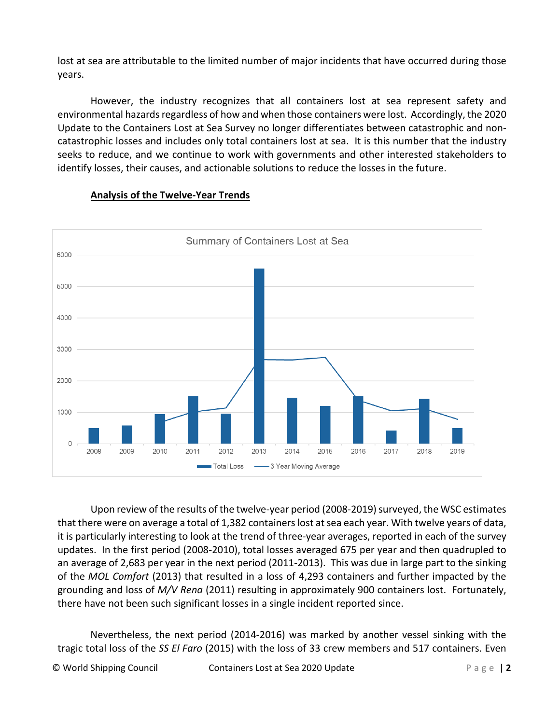lost at sea are attributable to the limited number of major incidents that have occurred during those years.

However, the industry recognizes that all containers lost at sea represent safety and environmental hazards regardless of how and when those containers were lost. Accordingly, the 2020 Update to the Containers Lost at Sea Survey no longer differentiates between catastrophic and noncatastrophic losses and includes only total containers lost at sea. It is this number that the industry seeks to reduce, and we continue to work with governments and other interested stakeholders to identify losses, their causes, and actionable solutions to reduce the losses in the future.



## **Analysis of the Twelve-Year Trends**

Upon review of the results of the twelve-year period (2008-2019) surveyed, the WSC estimates that there were on average a total of 1,382 containers lost at sea each year. With twelve years of data, it is particularly interesting to look at the trend of three-year averages, reported in each of the survey updates. In the first period (2008-2010), total losses averaged 675 per year and then quadrupled to an average of 2,683 per year in the next period (2011-2013). This was due in large part to the sinking of the *MOL Comfort* (2013) that resulted in a loss of 4,293 containers and further impacted by the grounding and loss of *M/V Rena* (2011) resulting in approximately 900 containers lost. Fortunately, there have not been such significant losses in a single incident reported since.

Nevertheless, the next period (2014-2016) was marked by another vessel sinking with the tragic total loss of the *SS El Faro* (2015) with the loss of 33 crew members and 517 containers. Even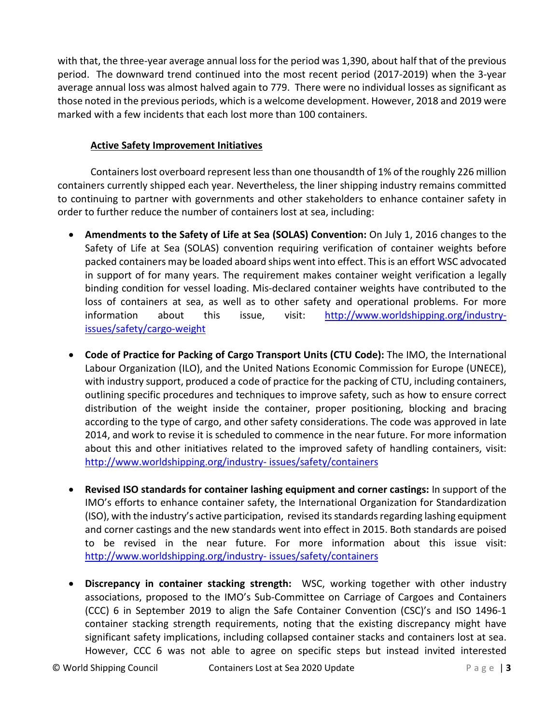with that, the three-year average annual loss for the period was 1,390, about half that of the previous period. The downward trend continued into the most recent period (2017-2019) when the 3-year average annual loss was almost halved again to 779. There were no individual losses as significant as those noted in the previous periods, which is a welcome development. However, 2018 and 2019 were marked with a few incidents that each lost more than 100 containers.

## **Active Safety Improvement Initiatives**

Containers lost overboard represent less than one thousandth of 1% of the roughly 226 million containers currently shipped each year. Nevertheless, the liner shipping industry remains committed to continuing to partner with governments and other stakeholders to enhance container safety in order to further reduce the number of containers lost at sea, including:

- **Amendments to the Safety of Life at Sea (SOLAS) Convention:** On July 1, 2016 changes to the Safety of Life at Sea (SOLAS) convention requiring verification of container weights before packed containers may be loaded aboard ships went into effect. This is an effort WSC advocated in support of for many years. The requirement makes container weight verification a legally binding condition for vessel loading. Mis-declared container weights have contributed to the loss of containers at sea, as well as to other safety and operational problems. For more information about this issue, visit: [http://www.worldshipping.org/industry](http://www.worldshipping.org/industry-issues/safety/cargo-weight)[issues/safety/cargo-weight](http://www.worldshipping.org/industry-issues/safety/cargo-weight)
- **Code of Practice for Packing of Cargo Transport Units (CTU Code):** The IMO, the International Labour Organization (ILO), and the United Nations Economic Commission for Europe (UNECE), with industry support, produced a code of practice for the packing of CTU, including containers, outlining specific procedures and techniques to improve safety, such as how to ensure correct distribution of the weight inside the container, proper positioning, blocking and bracing according to the type of cargo, and other safety considerations. The code was approved in late 2014, and work to revise it is scheduled to commence in the near future. For more information about this and other initiatives related to the improved safety of handling containers, visit: [http://www.worldshipping.org/industry-](http://www.worldshipping.org/industry-issues/safety/containers) [issues/safety/containers](http://www.worldshipping.org/industry-issues/safety/containers)
- **Revised ISO standards for container lashing equipment and corner castings:** In support of the IMO's efforts to enhance container safety, the International Organization for Standardization (ISO), with the industry's active participation, revised its standards regarding lashing equipment and corner castings and the new standards went into effect in 2015. Both standards are poised to be revised in the near future. For more information about this issue visit: [http://www.worldshipping.org/industry-](http://www.worldshipping.org/industry-issues/safety/containers) [issues/safety/containers](http://www.worldshipping.org/industry-issues/safety/containers)
- **Discrepancy in container stacking strength:** WSC, working together with other industry associations, proposed to the IMO's Sub-Committee on Carriage of Cargoes and Containers (CCC) 6 in September 2019 to align the Safe Container Convention (CSC)'s and ISO 1496-1 container stacking strength requirements, noting that the existing discrepancy might have significant safety implications, including collapsed container stacks and containers lost at sea. However, CCC 6 was not able to agree on specific steps but instead invited interested